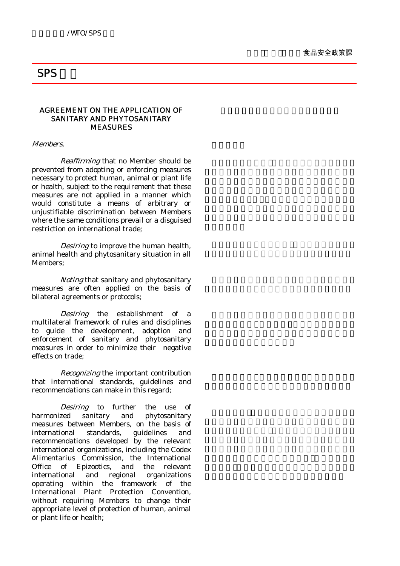# **SPS**

# AGREEMENT ON THE APPLICATION OF SANITARY AND PHYTOSANITARY MEASURES

# Members,

Reaffirming that no Member should be prevented from adopting or enforcing measures necessary to protect human, animal or plant life or health, subject to the requirement that these measures are not applied in a manner which would constitute a means of arbitrary or unjustifiable discrimination between Members where the same conditions prevail or a disguised restriction on international trade;

Desiring to improve the human health, animal health and phytosanitary situation in all Members;

Noting that sanitary and phytosanitary measures are often applied on the basis of bilateral agreements or protocols;

Desiring the establishment of a multilateral framework of rules and disciplines to guide the development, adoption and enforcement of sanitary and phytosanitary measures in order to minimize their negative effects on trade;

Recognizing the important contribution that international standards, guidelines and recommendations can make in this regard;

Desiring to further the use of<br>zed sanitary and phytosanitary harmonized sanitary and phytosanitary measures between Members, on the basis of<br>international standards, guidelines and international standards, guidelines and recommendations developed by the relevant international organizations, including the Codex Alimentarius Commission, the International Office of Epizootics, and the relevant international and regional organizations operating within the framework of the International Plant Protection Convention, without requiring Members to change their appropriate level of protection of human, animal or plant life or health;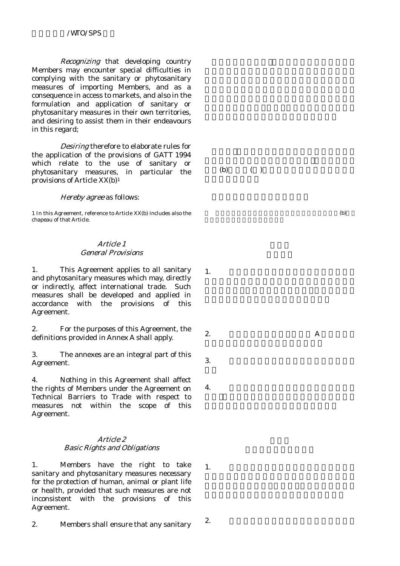Recognizing that developing country Members may encounter special difficulties in complying with the sanitary or phytosanitary measures of importing Members, and as a consequence in access to markets, and also in the formulation and application of sanitary or phytosanitary measures in their own territories, and desiring to assist them in their endeavours in this regard;

Desiring therefore to elaborate rules for the application of the provisions of GATT 1994 which relate to the use of sanitary or phytosanitary measures, in particular the provisions of Article XX(b) 1

#### Hereby agree as follows:

1 In this Agreement, reference to Article XX(b) includes also the chapeau of that Article.

## Article 1 General Provisions

1. This Agreement applies to all sanitary and phytosanitary measures which may, directly or indirectly, affect international trade. Such measures shall be developed and applied in accordance with the provisions of this Agreement.

2. For the purposes of this Agreement, the definitions provided in Annex A shall apply.

3. The annexes are an integral part of this Agreement.

4. Nothing in this Agreement shall affect the rights of Members under the Agreement on Technical Barriers to Trade with respect to measures not within the scope of this Agreement.

# Article 2 Basic Rights and Obligations

1. Members have the right to take sanitary and phytosanitary measures necessary for the protection of human, animal or plant life or health, provided that such measures are not inconsistent with the provisions of this Agreement.

2. Members shall ensure that any sanitary

 $(b)$  $( )$ ) and  $\overline{a}$ 

 $1.$ 

 $3.$ 

 $4.$ 

 $1.$ 

 $2.$ 

 $\mathbf{A}$ 

 $2.$ 

 $\textbf{(b)}$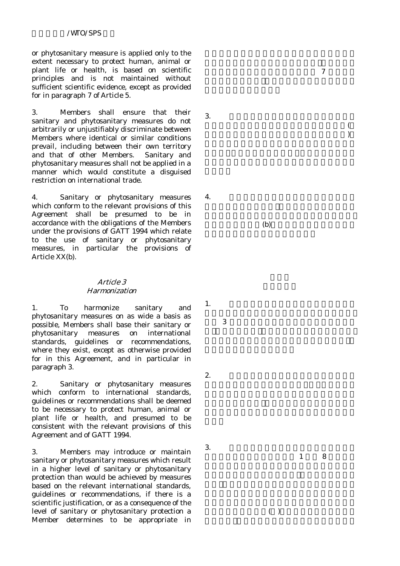or phytosanitary measure is applied only to the extent necessary to protect human, animal or plant life or health, is based on scientific principles and is not maintained without sufficient scientific evidence, except as provided for in paragraph 7 of Article 5.

3. Members shall ensure that their sanitary and phytosanitary measures do not arbitrarily or unjustifiably discriminate between Members where identical or similar conditions prevail, including between their own territory and that of other Members. Sanitary and phytosanitary measures shall not be applied in a manner which would constitute a disguised restriction on international trade.

4. Sanitary or phytosanitary measures which conform to the relevant provisions of this Agreement shall be presumed to be in accordance with the obligations of the Members under the provisions of GATT 1994 which relate to the use of sanitary or phytosanitary measures, in particular the provisions of Article XX(b).

#### Article 3 Harmonization

1. To harmonize sanitary and phytosanitary measures on as wide a basis as possible, Members shall base their sanitary or phytosanitary measures on international standards, guidelines or recommendations, where they exist, except as otherwise provided for in this Agreement, and in particular in paragraph 3.

2. Sanitary or phytosanitary measures which conform to international standards, guidelines or recommendations shall be deemed to be necessary to protect human, animal or plant life or health, and presumed to be consistent with the relevant provisions of this Agreement and of GATT 1994.

3. Members may introduce or maintain sanitary or phytosanitary measures which result in a higher level of sanitary or phytosanitary protection than would be achieved by measures based on the relevant international standards, guidelines or recommendations, if there is a scientific justification, or as a consequence of the level of sanitary or phytosanitary protection a Member determines to be appropriate in  $3.$ 

 $4.$ 

 $(b)$ 

 $1.$ 

 $3$ 

 $2.$ 

 $3.$ 

8

 $1$ 

 $\overline{7}$ 

(  $\lambda$ 

 $($ ) ) and  $\Box$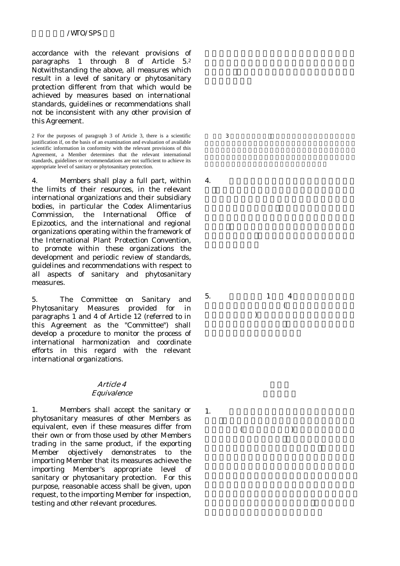accordance with the relevant provisions of paragraphs 1 through 8 of Article 5. 2 Notwithstanding the above, all measures which result in a level of sanitary or phytosanitary protection different from that which would be achieved by measures based on international standards, guidelines or recommendations shall not be inconsistent with any other provision of this Agreement.

4. Members shall play a full part, within the limits of their resources, in the relevant international organizations and their subsidiary bodies, in particular the Codex Alimentarius Commission, the International Office of Epizootics, and the international and regional organizations operating within the framework of the International Plant Protection Convention, to promote within these organizations the development and periodic review of standards, guidelines and recommendations with respect to all aspects of sanitary and phytosanitary measures.

5. The Committee on Sanitary and Phytosanitary Measures provided for in paragraphs 1 and 4 of Article 12 (referred to in this Agreement as the "Committee") shall develop a procedure to monitor the process of international harmonization and coordinate efforts in this regard with the relevant international organizations.

# Article 4 Equivalence

1. Members shall accept the sanitary or phytosanitary measures of other Members as equivalent, even if these measures differ from their own or from those used by other Members trading in the same product, if the exporting Member objectively demonstrates to the importing Member that its measures achieve the importing Member's appropriate level of sanitary or phytosanitary protection. For this purpose, reasonable access shall be given, upon request, to the importing Member for inspection, testing and other relevant procedures.

 $3$ 

 $5.$  $\mathbf 1$  $($ ) and  $\Box$ 

 $4.$ 

 $4\overline{ }$ 

) and  $\tilde{\mathcal{O}}$ 

 $($ 

<sup>2</sup> For the purposes of paragraph 3 of Article 3, there is a scientific justification if, on the basis of an examination and evaluation of available scientific information in conformity with the relevant provisions of this Agreement, a Member determines that the relevant international standards, guidelines or recommendations are not sufficient to achieve its appropriate level of sanitary or phytosanitary protection.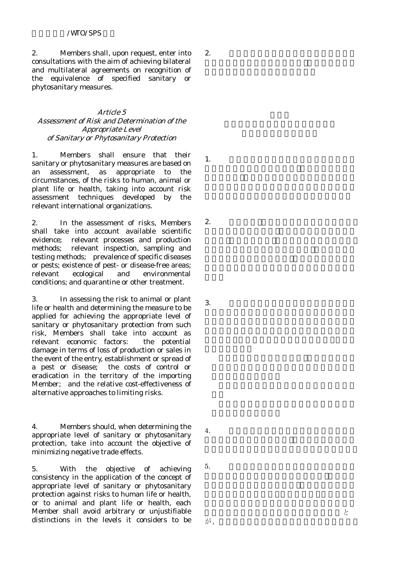2. Members shall, upon request, enter into consultations with the aim of achieving bilateral and multilateral agreements on recognition of the equivalence of specified sanitary or phytosanitary measures.

# Article 5 Assessment of Risk and Determination of the Appropriate Level of Sanitary or Phytosanitary Protection

1. Members shall ensure that their sanitary or phytosanitary measures are based on an assessment, as appropriate to the circumstances, of the risks to human, animal or plant life or health, taking into account risk assessment techniques developed by the relevant international organizations.

2. In the assessment of risks, Members shall take into account available scientific evidence; relevant processes and production methods; relevant inspection, sampling and testing methods; prevalence of specific diseases or pests; existence of pest- or disease-free areas; relevant ecological and environmental conditions; and quarantine or other treatment.

3. In assessing the risk to animal or plant life or health and determining the measure to be applied for achieving the appropriate level of sanitary or phytosanitary protection from such risk, Members shall take into account as relevant economic factors: the potential damage in terms of loss of production or sales in the event of the entry, establishment or spread of a pest or disease; the costs of control or eradication in the territory of the importing Member; and the relative cost-effectiveness of alternative approaches to limiting risks.

4. Members should, when determining the appropriate level of sanitary or phytosanitary protection, take into account the objective of minimizing negative trade effects.

5. With the objective of achieving consistency in the application of the concept of appropriate level of sanitary or phytosanitary protection against risks to human life or health, or to animal and plant life or health, each Member shall avoid arbitrary or unjustifiable distinctions in the levels it considers to be

 $2.$ 

 $1.$ 

 $2.$ 

 $3.$ 

 $4.$ 

 $5.$ 

が  $\lambda$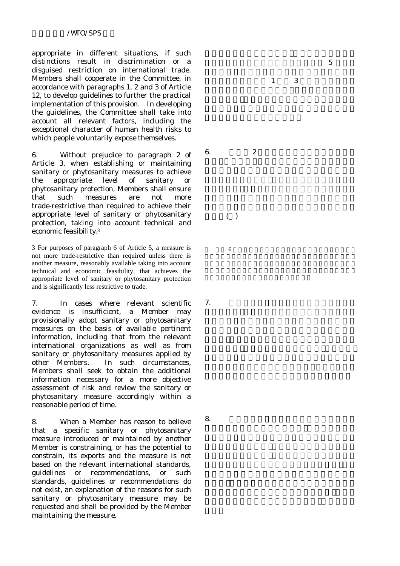appropriate in different situations, if such distinctions result in discrimination or a disguised restriction on international trade. Members shall cooperate in the Committee, in accordance with paragraphs 1, 2 and 3 of Article 12, to develop guidelines to further the practical implementation of this provision. In developing the guidelines, the Committee shall take into account all relevant factors, including the exceptional character of human health risks to which people voluntarily expose themselves.

6. Without prejudice to paragraph 2 of Article 3, when establishing or maintaining sanitary or phytosanitary measures to achieve the appropriate level of sanitary or phytosanitary protection, Members shall ensure that such measures are not more trade-restrictive than required to achieve their appropriate level of sanitary or phytosanitary protection, taking into account technical and economic feasibility. 3

3 For purposes of paragraph 6 of Article 5, a measure is not more trade-restrictive than required unless there is another measure, reasonably available taking into account technical and economic feasibility, that achieves the appropriate level of sanitary or phytosanitary protection and is significantly less restrictive to trade.

7. In cases where relevant scientific evidence is insufficient, a Member may provisionally adopt sanitary or phytosanitary measures on the basis of available pertinent information, including that from the relevant international organizations as well as from sanitary or phytosanitary measures applied by other Members. In such circumstances, Members shall seek to obtain the additional information necessary for a more objective assessment of risk and review the sanitary or phytosanitary measure accordingly within a reasonable period of time.

8. When a Member has reason to believe that a specific sanitary or phytosanitary measure introduced or maintained by another Member is constraining, or has the potential to constrain, its exports and the measure is not based on the relevant international standards, guidelines or recommendations, or such standards, guidelines or recommendations do not exist, an explanation of the reasons for such sanitary or phytosanitary measure may be requested and shall be provided by the Member maintaining the measure.

 $1$ 

 $5 \overline{)}$ 

 $3 \overline{3}$ 

 $2$ 

 $6$ 

 $6.$ 

( )

 $7.$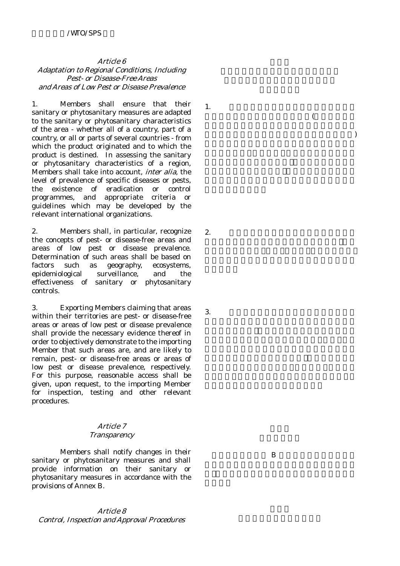# Article 6 Adaptation to Regional Conditions, Including Pest- or Disease-Free Areas and Areas of Low Pest or Disease Prevalence

1. Members shall ensure that their sanitary or phytosanitary measures are adapted to the sanitary or phytosanitary characteristics of the area - whether all of a country, part of a country, or all or parts of several countries - from which the product originated and to which the product is destined. In assessing the sanitary or phytosanitary characteristics of a region, Members shall take into account, inter alia, the level of prevalence of specific diseases or pests, the existence of eradication or control programmes, and appropriate criteria or guidelines which may be developed by the relevant international organizations.

2. Members shall, in particular, recognize the concepts of pest- or disease-free areas and areas of low pest or disease prevalence. Determination of such areas shall be based on factors such as geography, ecosystems, epidemiological surveillance, and the effectiveness of sanitary or phytosanitary controls.

3. Exporting Members claiming that areas within their territories are pest- or disease-free areas or areas of low pest or disease prevalence shall provide the necessary evidence thereof in order to objectively demonstrate to the importing Member that such areas are, and are likely to remain, pest- or disease-free areas or areas of low pest or disease prevalence, respectively. For this purpose, reasonable access shall be given, upon request, to the importing Member for inspection, testing and other relevant procedures.

# Article 7 **Transparency**

 Members shall notify changes in their sanitary or phytosanitary measures and shall provide information on their sanitary or phytosanitary measures in accordance with the provisions of Annex B.

Article 8 Control, Inspection and Approval Procedures  $1.$ 

)

 $($ 

 $2.$ 

B state  $\mathbf B$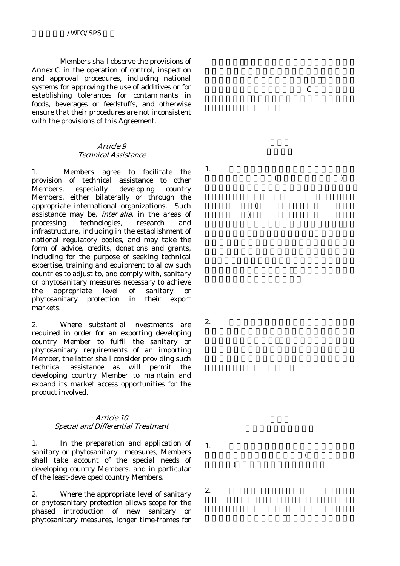Members shall observe the provisions of Annex C in the operation of control, inspection and approval procedures, including national systems for approving the use of additives or for establishing tolerances for contaminants in foods, beverages or feedstuffs, and otherwise ensure that their procedures are not inconsistent with the provisions of this Agreement.

#### Article 9 Technical Assistance

1. Members agree to facilitate the provision of technical assistance to other Members, especially developing country Members, either bilaterally or through the appropriate international organizations. Such assistance may be, inter alia, in the areas of processing technologies, research and infrastructure, including in the establishment of national regulatory bodies, and may take the form of advice, credits, donations and grants, including for the purpose of seeking technical expertise, training and equipment to allow such countries to adjust to, and comply with, sanitary or phytosanitary measures necessary to achieve the appropriate level of sanitary or phytosanitary protection in their export markets.

2. Where substantial investments are required in order for an exporting developing country Member to fulfil the sanitary or phytosanitary requirements of an importing Member, the latter shall consider providing such technical assistance as will permit the developing country Member to maintain and expand its market access opportunities for the product involved.

# Article 10 Special and Differential Treatment

1. In the preparation and application of sanitary or phytosanitary measures, Members shall take account of the special needs of developing country Members, and in particular of the least-developed country Members.

2. Where the appropriate level of sanitary or phytosanitary protection allows scope for the phased introduction of new sanitary or phytosanitary measures, longer time-frames for

 $1.$ ) and the set of  $\mathcal{O}(\mathcal{A})$ 

C and  $\overline{C}$ 

 $\lambda$ 

 $($ 

 $1.$ 

 $2.$ 

 $($ 

 $\overline{\mathcal{C}}$ ) and  $\lambda$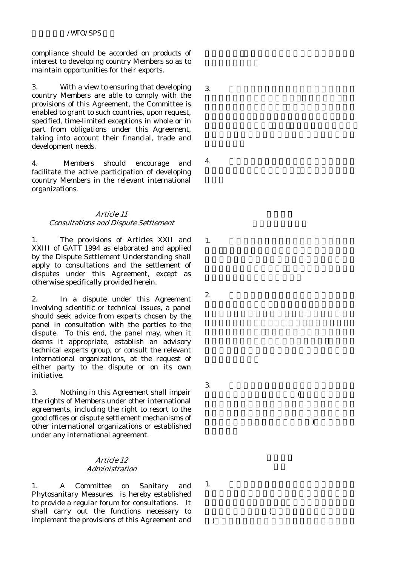compliance should be accorded on products of interest to developing country Members so as to maintain opportunities for their exports.

3. With a view to ensuring that developing country Members are able to comply with the provisions of this Agreement, the Committee is enabled to grant to such countries, upon request, specified, time-limited exceptions in whole or in part from obligations under this Agreement, taking into account their financial, trade and development needs.

4. Members should encourage and facilitate the active participation of developing country Members in the relevant international organizations.

# Article 11 Consultations and Dispute Settlement

1. The provisions of Articles XXII and XXIII of GATT 1994 as elaborated and applied by the Dispute Settlement Understanding shall apply to consultations and the settlement of disputes under this Agreement, except as otherwise specifically provided herein.

2. In a dispute under this Agreement involving scientific or technical issues, a panel should seek advice from experts chosen by the panel in consultation with the parties to the dispute. To this end, the panel may, when it deems it appropriate, establish an advisory technical experts group, or consult the relevant international organizations, at the request of either party to the dispute or on its own initiative.

3. Nothing in this Agreement shall impair the rights of Members under other international agreements, including the right to resort to the good offices or dispute settlement mechanisms of other international organizations or established under any international agreement.

# Article 12 Administration

1. A Committee on Sanitary and Phytosanitary Measures is hereby established to provide a regular forum for consultations. It shall carry out the functions necessary to implement the provisions of this Agreement and

 $1.$ 

 $3.$ 

 $4.$ 

 $1.$ 

 $2.$ 

 $3.$ 

 $($ 

 $($ 

) and the set of the set of the set of the set of the set of the set of the set of the set of the set of the set of the set of the set of the set of the set of the set of the set of the set of the set of the set of the se

) and the set of  $\mathcal{L}$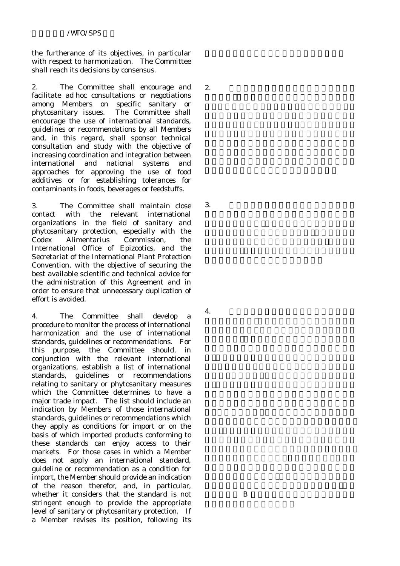the furtherance of its objectives, in particular with respect to harmonization. The Committee shall reach its decisions by consensus.

2. The Committee shall encourage and facilitate ad hoc consultations or negotiations among Members on specific sanitary or phytosanitary issues. The Committee shall encourage the use of international standards, guidelines or recommendations by all Members and, in this regard, shall sponsor technical consultation and study with the objective of increasing coordination and integration between international and national systems and approaches for approving the use of food additives or for establishing tolerances for contaminants in foods, beverages or feedstuffs.

3. The Committee shall maintain close contact with the relevant international organizations in the field of sanitary and phytosanitary protection, especially with the Codex Alimentarius Commission, the International Office of Epizootics, and the Secretariat of the International Plant Protection Convention, with the objective of securing the best available scientific and technical advice for the administration of this Agreement and in order to ensure that unnecessary duplication of effort is avoided.

4. The Committee shall develop a procedure to monitor the process of international harmonization and the use of international standards, guidelines or recommendations. For this purpose, the Committee should, in conjunction with the relevant international organizations, establish a list of international standards, guidelines or recommendations relating to sanitary or phytosanitary measures which the Committee determines to have a major trade impact. The list should include an indication by Members of those international standards, guidelines or recommendations which they apply as conditions for import or on the basis of which imported products conforming to these standards can enjoy access to their markets. For those cases in which a Member does not apply an international standard, guideline or recommendation as a condition for import, the Member should provide an indication of the reason therefor, and, in particular, whether it considers that the standard is not stringent enough to provide the appropriate level of sanitary or phytosanitary protection. If a Member revises its position, following its

 $2.$ 

 $3.$ 

4. 委員会は、国際的な措置の調和の過程及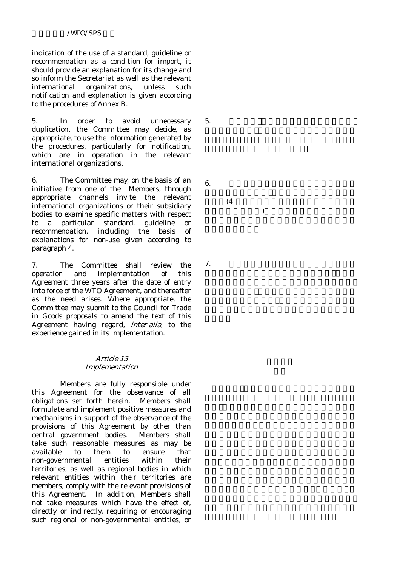indication of the use of a standard, guideline or recommendation as a condition for import, it should provide an explanation for its change and so inform the Secretariat as well as the relevant international organizations, unless such notification and explanation is given according to the procedures of Annex B.

5. In order to avoid unnecessary duplication, the Committee may decide, as appropriate, to use the information generated by the procedures, particularly for notification, which are in operation in the relevant international organizations.

6. The Committee may, on the basis of an initiative from one of the Members, through appropriate channels invite the relevant international organizations or their subsidiary bodies to examine specific matters with respect to a particular standard, guideline or recommendation, including the basis of explanations for non-use given according to paragraph 4.

7. The Committee shall review the operation and implementation of this Agreement three years after the date of entry into force of the WTO Agreement, and thereafter as the need arises. Where appropriate, the Committee may submit to the Council for Trade in Goods proposals to amend the text of this Agreement having regard, *inter alia*, to the experience gained in its implementation.

### Article 13 Implementation

 Members are fully responsible under this Agreement for the observance of all obligations set forth herein. Members shall formulate and implement positive measures and mechanisms in support of the observance of the provisions of this Agreement by other than central government bodies. Members shall take such reasonable measures as may be available to them to ensure that non-governmental entities within their territories, as well as regional bodies in which relevant entities within their territories are members, comply with the relevant provisions of this Agreement. In addition, Members shall not take measures which have the effect of, directly or indirectly, requiring or encouraging such regional or non-governmental entities, or

 $5.$ 

 $6.$ 

 $(4)$  $)$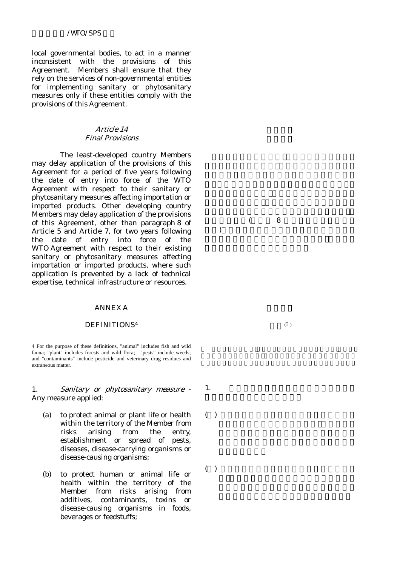local governmental bodies, to act in a manner inconsistent with the provisions of this Agreement. Members shall ensure that they rely on the services of non-governmental entities for implementing sanitary or phytosanitary measures only if these entities comply with the provisions of this Agreement.

# Article 14 Final Provisions

 The least-developed country Members may delay application of the provisions of this Agreement for a period of five years following the date of entry into force of the WTO Agreement with respect to their sanitary or phytosanitary measures affecting importation or imported products. Other developing country Members may delay application of the provisions of this Agreement, other than paragraph 8 of Article 5 and Article 7, for two years following the date of entry into force of the WTO Agreement with respect to their existing sanitary or phytosanitary measures affecting importation or imported products, where such application is prevented by a lack of technical expertise, technical infrastructure or resources.

#### ANNEX A

#### DEFINITIONS4

4 For the purpose of these definitions, "animal" includes fish and wild fauna; "plant" includes forests and wild flora; "pests" include weeds; and "contaminants" include pesticide and veterinary drug residues and extraneous matter.

### 1. Sanitary or phytosanitary measure - Any measure applied:

- (a) to protect animal or plant life or health within the territory of the Member from risks arising from the entry, establishment or spread of pests, diseases, disease-carrying organisms or disease-causing organisms;
- (b) to protect human or animal life or health within the territory of the Member from risks arising from additives, contaminants, toxins or disease-causing organisms in foods, beverages or feedstuffs;

 $($  8  $)$  $)$ 

 $( )$ 

 $1.$ 

( ) and  $\Box$ 

 $($  )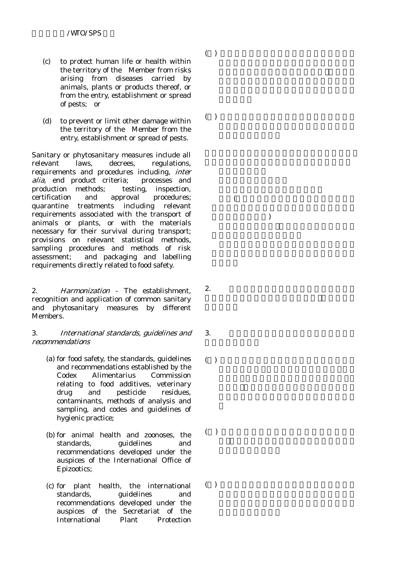- (c) to protect human life or health within the territory of the Member from risks arising from diseases carried by animals, plants or products thereof, or from the entry, establishment or spread of pests; or
- (d) to prevent or limit other damage within the territory of the Member from the entry, establishment or spread of pests.

Sanitary or phytosanitary measures include all relevant laws, decrees, regulations, requirements and procedures including, *inter* alia, end product criteria; processes and production methods; testing, inspection, certification and approval procedures; quarantine treatments including relevant requirements associated with the transport of animals or plants, or with the materials necessary for their survival during transport; provisions on relevant statistical methods, sampling procedures and methods of risk assessment; and packaging and labelling requirements directly related to food safety.

2. Harmonization - The establishment, recognition and application of common sanitary and phytosanitary measures by different Members.

# 3. International standards, guidelines and recommendations

- (a) for food safety, the standards, guidelines and recommendations established by the Codex Alimentarius Commission relating to food additives, veterinary drug and pesticide residues, contaminants, methods of analysis and sampling, and codes and guidelines of hygienic practice;
- (b) for animal health and zoonoses, the standards. guidelines and recommendations developed under the auspices of the International Office of Epizootics;
- (c) for plant health, the international standards, guidelines and recommendations developed under the auspices of the Secretariat of the International Plant Protection

( ) and  $\overline{a}$ 

( ) and  $\epsilon$ 

 $\overline{\phantom{a}}$ 

 $($ 

 $($  )

 $2.$ 

 $3.$ 

( ) example  $\overline{z}$ 

( ) and  $\blacksquare$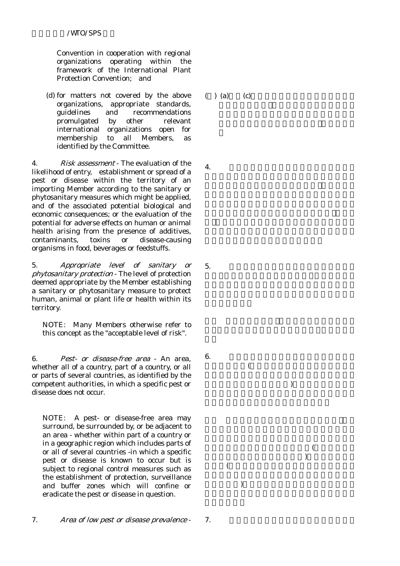Convention in cooperation with regional organizations operating within the framework of the International Plant Protection Convention; and

(d) for matters not covered by the above organizations, appropriate standards, guidelines and recommendations promulgated by other relevant international organizations open for membership to all Members, as identified by the Committee.

4. Risk assessment - The evaluation of the likelihood of entry, establishment or spread of a pest or disease within the territory of an importing Member according to the sanitary or phytosanitary measures which might be applied, and of the associated potential biological and economic consequences; or the evaluation of the potential for adverse effects on human or animal health arising from the presence of additives, contaminants, toxins or disease-causing organisms in food, beverages or feedstuffs.

5. Appropriate level of sanitary or phytosanitary protection - The level of protection deemed appropriate by the Member establishing a sanitary or phytosanitary measure to protect human, animal or plant life or health within its territory.

NOTE: Many Members otherwise refer to this concept as the "acceptable level of risk".

6. Pest- or disease-free area - An area, whether all of a country, part of a country, or all or parts of several countries, as identified by the competent authorities, in which a specific pest or disease does not occur.

NOTE: A pest- or disease-free area may surround, be surrounded by, or be adjacent to an area - whether within part of a country or in a geographic region which includes parts of or all of several countries -in which a specific pest or disease is known to occur but is subject to regional control measures such as the establishment of protection, surveillance and buffer zones which will confine or eradicate the pest or disease in question.

 $( )$   $( a )$   $( c )$ 

 $5.$ 

 $6.$  $($ 

 $)$ 

 $\overline{\mathcal{L}}$  $)$  $\overline{a}$ 

) and the contract of  $\Gamma$ 

 $7.$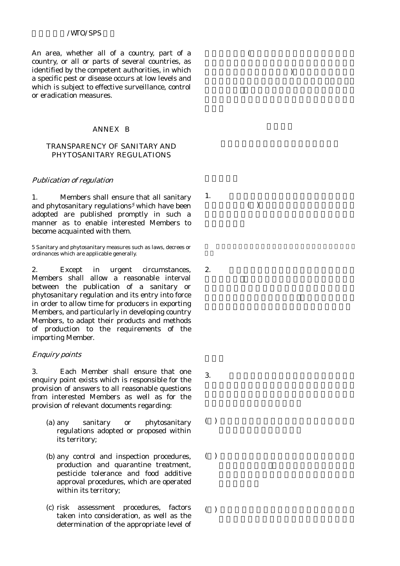An area, whether all of a country, part of a country, or all or parts of several countries, as identified by the competent authorities, in which a specific pest or disease occurs at low levels and which is subject to effective surveillance, control or eradication measures.

# ANNEX B

# TRANSPARENCY OF SANITARY AND PHYTOSANITARY REGULATIONS

#### Publication of regulation

1. Members shall ensure that all sanitary and phytosanitary regulations<sup>5</sup> which have been adopted are published promptly in such a manner as to enable interested Members to become acquainted with them.

5 Sanitary and phytosanitary measures such as laws, decrees or ordinances which are applicable generally.

2. Except in urgent circumstances, Members shall allow a reasonable interval between the publication of a sanitary or phytosanitary regulation and its entry into force in order to allow time for producers in exporting Members, and particularly in developing country Members, to adapt their products and methods of production to the requirements of the importing Member.

#### Enquiry points

3. Each Member shall ensure that one enquiry point exists which is responsible for the provision of answers to all reasonable questions from interested Members as well as for the provision of relevant documents regarding:

- (a) any sanitary or phytosanitary regulations adopted or proposed within its territory;
- (b) any control and inspection procedures, production and quarantine treatment, pesticide tolerance and food additive approval procedures, which are operated within its territory;
- (c) risk assessment procedures, factors taken into consideration, as well as the determination of the appropriate level of

 $1.$  $( \ )$ 

 $($ 

 $)$ 

 $2.$ 

 $3.$ 

( ) and  $\Box$ 

 $($  )

 $($  )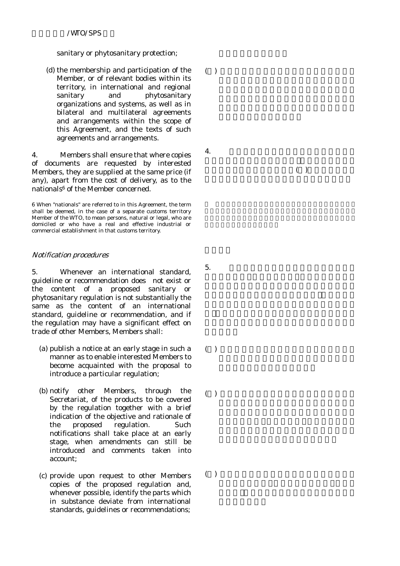# sanitary or phytosanitary protection;

(d) the membership and participation of the Member, or of relevant bodies within its territory, in international and regional sanitary and phytosanitary organizations and systems, as well as in bilateral and multilateral agreements and arrangements within the scope of this Agreement, and the texts of such agreements and arrangements.

4. Members shall ensure that where copies of documents are requested by interested Members, they are supplied at the same price (if any), apart from the cost of delivery, as to the nationals 6 of the Member concerned.

6 When "nationals" are referred to in this Agreement, the term shall be deemed, in the case of a separate customs territory Member of the WTO, to mean persons, natural or legal, who are domiciled or who have a real and effective industrial or commercial establishment in that customs territory.

# Notification procedures

5. Whenever an international standard, guideline or recommendation does not exist or the content of a proposed sanitary or phytosanitary regulation is not substantially the same as the content of an international standard, guideline or recommendation, and if the regulation may have a significant effect on trade of other Members, Members shall:

- (a) publish a notice at an early stage in such a manner as to enable interested Members to become acquainted with the proposal to introduce a particular regulation;
- (b) notify other Members, through the Secretariat, of the products to be covered by the regulation together with a brief indication of the objective and rationale of the proposed regulation. Such notifications shall take place at an early stage, when amendments can still be introduced and comments taken into account;
- (c) provide upon request to other Members copies of the proposed regulation and, whenever possible, identify the parts which in substance deviate from international standards, guidelines or recommendations;

 $($  )

 $4.$ 

( )  $\Box$ 

 $($   $)$ 

 $($ )  $)$ 

 $5.$ 

( )  $\Box$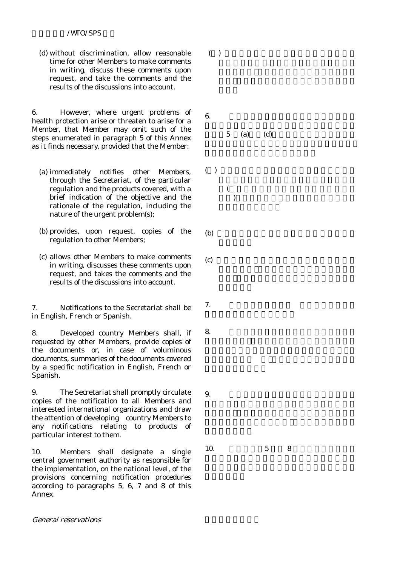(d) without discrimination, allow reasonable time for other Members to make comments in writing, discuss these comments upon request, and take the comments and the results of the discussions into account.

6. However, where urgent problems of health protection arise or threaten to arise for a Member, that Member may omit such of the steps enumerated in paragraph 5 of this Annex as it finds necessary, provided that the Member:

- (a) immediately notifies other Members, through the Secretariat, of the particular regulation and the products covered, with a brief indication of the objective and the rationale of the regulation, including the nature of the urgent problem(s);
- (b) provides, upon request, copies of the regulation to other Members;
- (c) allows other Members to make comments in writing, discusses these comments upon request, and takes the comments and the results of the discussions into account.

7. Notifications to the Secretariat shall be in English, French or Spanish.

8. Developed country Members shall, if requested by other Members, provide copies of the documents or, in case of voluminous documents, summaries of the documents covered by a specific notification in English, French or Spanish.

9. The Secretariat shall promptly circulate copies of the notification to all Members and interested international organizations and draw the attention of developing country Members to any notifications relating to products of particular interest to them.

10. Members shall designate a single central government authority as responsible for the implementation, on the national level, of the provisions concerning notification procedures according to paragraphs 5, 6, 7 and 8 of this Annex.

- $($  )
- $6.$
- $5$  (a) (d)

 $($  )

 $($ )

 $(b)$ 

 $(c)$ 

 $7.$ 

 $8.$ 

 $9.$ 

 $10. \hspace{1.5cm} 5 \hspace{1.5cm} 8$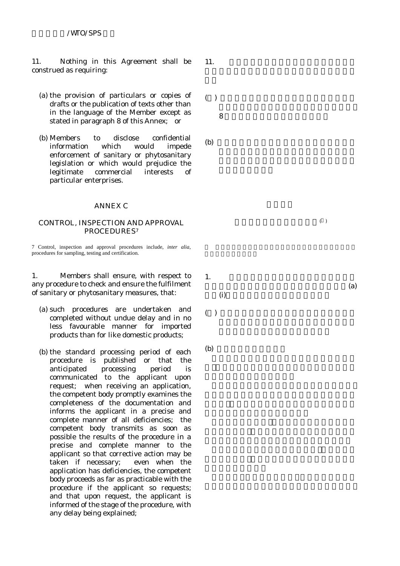11. Nothing in this Agreement shall be construed as requiring:  $11.$ 

- (a) the provision of particulars or copies of drafts or the publication of texts other than in the language of the Member except as stated in paragraph 8 of this Annex; or
- (b) Members to disclose confidential information which would impede enforcement of sanitary or phytosanitary legislation or which would prejudice the legitimate commercial interests particular enterprises.

#### ANNEX C

#### CONTROL, INSPECTION AND APPROVAL PROCEDURES 7

7 Control, inspection and approval procedures include, *inter alia*, procedures for sampling, testing and certification.

1. Members shall ensure, with respect to any procedure to check and ensure the fulfilment of sanitary or phytosanitary measures, that:

- (a) such procedures are undertaken and completed without undue delay and in no less favourable manner for imported products than for like domestic products;
- (b) the standard processing period of each procedure is published or that the anticipated processing period is communicated to the applicant upon request; when receiving an application, the competent body promptly examines the completeness of the documentation and informs the applicant in a precise and complete manner of all deficiencies; the competent body transmits as soon as possible the results of the procedure in a precise and complete manner to the applicant so that corrective action may be taken if necessary; even when the application has deficiencies, the competent body proceeds as far as practicable with the procedure if the applicant so requests; and that upon request, the applicant is informed of the stage of the procedure, with any delay being explained;

 $8<sub>3</sub>$ 

 $(b)$ 

( )

 $($  )

 $1.$ 

 $(i)$ 

 $(a)$ 

( )

 $(b)$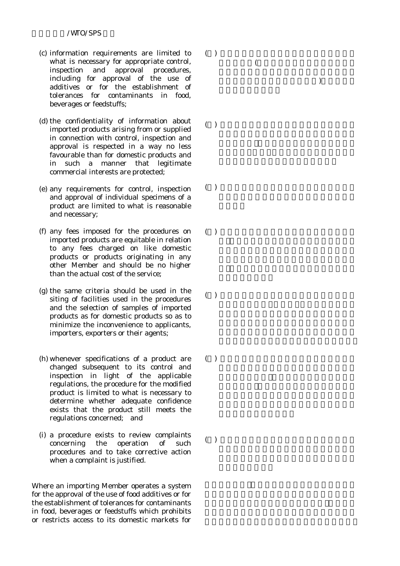- (c) information requirements are limited to what is necessary for appropriate control, inspection and approval procedures, including for approval of the use of additives or for the establishment of tolerances for contaminants in food, beverages or feedstuffs;
- (d) the confidentiality of information about imported products arising from or supplied in connection with control, inspection and approval is respected in a way no less favourable than for domestic products and in such a manner that legitimate commercial interests are protected;
- (e) any requirements for control, inspection and approval of individual specimens of a product are limited to what is reasonable and necessary;
- (f) any fees imposed for the procedures on imported products are equitable in relation to any fees charged on like domestic products or products originating in any other Member and should be no higher than the actual cost of the service;
- (g) the same criteria should be used in the siting of facilities used in the procedures and the selection of samples of imported products as for domestic products so as to minimize the inconvenience to applicants, importers, exporters or their agents;
- (h) whenever specifications of a product are changed subsequent to its control and inspection in light of the applicable regulations, the procedure for the modified product is limited to what is necessary to determine whether adequate confidence exists that the product still meets the regulations concerned; and
- (i) a procedure exists to review complaints concerning the operation of such procedures and to take corrective action when a complaint is justified.

Where an importing Member operates a system for the approval of the use of food additives or for the establishment of tolerances for contaminants in food, beverages or feedstuffs which prohibits or restricts access to its domestic markets for

 $($  )  $($ 

)

( ) expressed at  $\overline{z}$ 

 $( \ )$ 

( ) and  $\mathcal{L}$ 

 $($  )

 $($  )

( )  $\blacksquare$